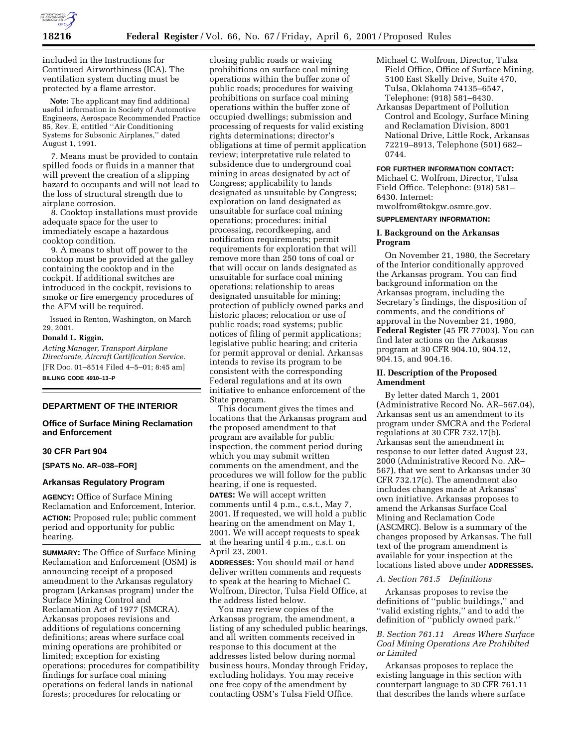

included in the Instructions for Continued Airworthiness (ICA). The ventilation system ducting must be protected by a flame arrestor.

**Note:** The applicant may find additional useful information in Society of Automotive Engineers, Aerospace Recommended Practice 85, Rev. E, entitled ''Air Conditioning Systems for Subsonic Airplanes,'' dated August 1, 1991.

7. Means must be provided to contain spilled foods or fluids in a manner that will prevent the creation of a slipping hazard to occupants and will not lead to the loss of structural strength due to airplane corrosion.

8. Cooktop installations must provide adequate space for the user to immediately escape a hazardous cooktop condition.

9. A means to shut off power to the cooktop must be provided at the galley containing the cooktop and in the cockpit. If additional switches are introduced in the cockpit, revisions to smoke or fire emergency procedures of the AFM will be required.

Issued in Renton, Washington, on March 29, 2001.

## **Donald L. Riggin,**

*Acting Manager, Transport Airplane Directorate, Aircraft Certification Service.* [FR Doc. 01–8514 Filed 4–5–01; 8:45 am] **BILLING CODE 4910–13–P**

### **DEPARTMENT OF THE INTERIOR**

## **Office of Surface Mining Reclamation and Enforcement**

#### **30 CFR Part 904**

**[SPATS No. AR–038–FOR]**

### **Arkansas Regulatory Program**

**AGENCY:** Office of Surface Mining Reclamation and Enforcement, Interior. **ACTION:** Proposed rule; public comment period and opportunity for public hearing.

**SUMMARY:** The Office of Surface Mining Reclamation and Enforcement (OSM) is announcing receipt of a proposed amendment to the Arkansas regulatory program (Arkansas program) under the Surface Mining Control and Reclamation Act of 1977 (SMCRA). Arkansas proposes revisions and additions of regulations concerning definitions; areas where surface coal mining operations are prohibited or limited; exception for existing operations; procedures for compatibility findings for surface coal mining operations on federal lands in national forests; procedures for relocating or

closing public roads or waiving prohibitions on surface coal mining operations within the buffer zone of public roads; procedures for waiving prohibitions on surface coal mining operations within the buffer zone of occupied dwellings; submission and processing of requests for valid existing rights determinations; director's obligations at time of permit application review; interpretative rule related to subsidence due to underground coal mining in areas designated by act of Congress; applicability to lands designated as unsuitable by Congress; exploration on land designated as unsuitable for surface coal mining operations; procedures: initial processing, recordkeeping, and notification requirements; permit requirements for exploration that will remove more than 250 tons of coal or that will occur on lands designated as unsuitable for surface coal mining operations; relationship to areas designated unsuitable for mining; protection of publicly owned parks and historic places; relocation or use of public roads; road systems; public notices of filing of permit applications; legislative public hearing; and criteria for permit approval or denial. Arkansas intends to revise its program to be consistent with the corresponding Federal regulations and at its own initiative to enhance enforcement of the State program.

This document gives the times and locations that the Arkansas program and the proposed amendment to that program are available for public inspection, the comment period during which you may submit written comments on the amendment, and the procedures we will follow for the public hearing, if one is requested.

**DATES:** We will accept written comments until 4 p.m., c.s.t., May 7, 2001. If requested, we will hold a public hearing on the amendment on May 1, 2001. We will accept requests to speak at the hearing until 4 p.m., c.s.t. on April 23, 2001.

**ADDRESSES:** You should mail or hand deliver written comments and requests to speak at the hearing to Michael C. Wolfrom, Director, Tulsa Field Office, at the address listed below.

You may review copies of the Arkansas program, the amendment, a listing of any scheduled public hearings, and all written comments received in response to this document at the addresses listed below during normal business hours, Monday through Friday, excluding holidays. You may receive one free copy of the amendment by contacting OSM's Tulsa Field Office.

- Michael C. Wolfrom, Director, Tulsa Field Office, Office of Surface Mining, 5100 East Skelly Drive, Suite 470, Tulsa, Oklahoma 74135–6547, Telephone: (918) 581–6430.
- Arkansas Department of Pollution Control and Ecology, Surface Mining and Reclamation Division, 8001 National Drive, Little Rock, Arkansas 72219–8913, Telephone (501) 682– 0744.

#### **FOR FURTHER INFORMATION CONTACT:**

Michael C. Wolfrom, Director, Tulsa Field Office. Telephone: (918) 581– 6430. Internet:

mwolfrom@tokgw.osmre.gov.

### **SUPPLEMENTARY INFORMATION:**

### **I. Background on the Arkansas Program**

On November 21, 1980, the Secretary of the Interior conditionally approved the Arkansas program. You can find background information on the Arkansas program, including the Secretary's findings, the disposition of comments, and the conditions of approval in the November 21, 1980, **Federal Register** (45 FR 77003). You can find later actions on the Arkansas program at 30 CFR 904.10, 904.12, 904.15, and 904.16.

## **II. Description of the Proposed Amendment**

By letter dated March 1, 2001 (Administrative Record No. AR–567.04), Arkansas sent us an amendment to its program under SMCRA and the Federal regulations at 30 CFR 732.17(b). Arkansas sent the amendment in response to our letter dated August 23, 2000 (Administrative Record No. AR– 567), that we sent to Arkansas under 30 CFR 732.17(c). The amendment also includes changes made at Arkansas' own initiative. Arkansas proposes to amend the Arkansas Surface Coal Mining and Reclamation Code (ASCMRC). Below is a summary of the changes proposed by Arkansas. The full text of the program amendment is available for your inspection at the locations listed above under **ADDRESSES.**

#### *A. Section 761.5 Definitions*

Arkansas proposes to revise the definitions of ''public buildings,'' and ''valid existing rights,'' and to add the definition of ''publicly owned park.''

## *B. Section 761.11 Areas Where Surface Coal Mining Operations Are Prohibited or Limited*

Arkansas proposes to replace the existing language in this section with counterpart language to 30 CFR 761.11 that describes the lands where surface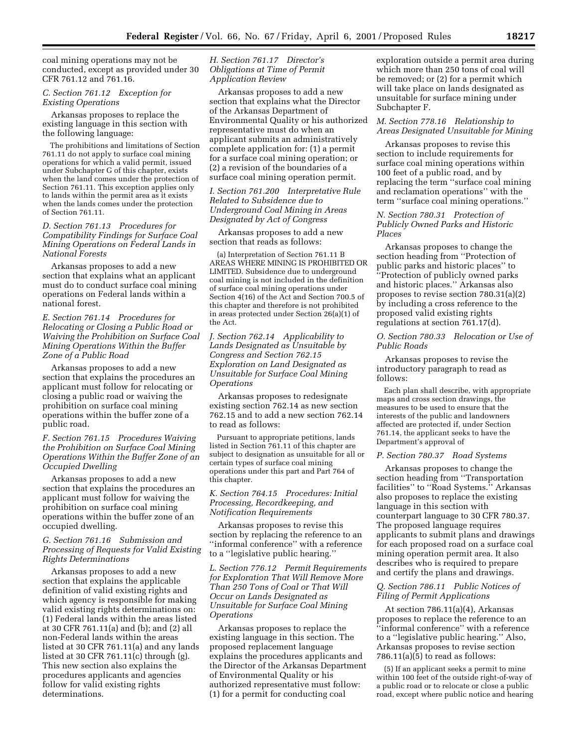coal mining operations may not be conducted, except as provided under 30 CFR 761.12 and 761.16.

# *C. Section 761.12 Exception for Existing Operations*

Arkansas proposes to replace the existing language in this section with the following language:

The prohibitions and limitations of Section 761.11 do not apply to surface coal mining operations for which a valid permit, issued under Subchapter G of this chapter, exists when the land comes under the protection of Section 761.11. This exception applies only to lands within the permit area as it exists when the lands comes under the protection of Section 761.11.

### *D. Section 761.13 Procedures for Compatibility Findings for Surface Coal Mining Operations on Federal Lands in National Forests*

Arkansas proposes to add a new section that explains what an applicant must do to conduct surface coal mining operations on Federal lands within a national forest.

# *E. Section 761.14 Procedures for Relocating or Closing a Public Road or Waiving the Prohibition on Surface Coal Mining Operations Within the Buffer Zone of a Public Road*

Arkansas proposes to add a new section that explains the procedures an applicant must follow for relocating or closing a public road or waiving the prohibition on surface coal mining operations within the buffer zone of a public road.

# *F. Section 761.15 Procedures Waiving the Prohibition on Surface Coal Mining Operations Within the Buffer Zone of an Occupied Dwelling*

Arkansas proposes to add a new section that explains the procedures an applicant must follow for waiving the prohibition on surface coal mining operations within the buffer zone of an occupied dwelling.

# *G. Section 761.16 Submission and Processing of Requests for Valid Existing Rights Determinations*

Arkansas proposes to add a new section that explains the applicable definition of valid existing rights and which agency is responsible for making valid existing rights determinations on: (1) Federal lands within the areas listed at 30 CFR 761.11(a) and (b); and (2) all non-Federal lands within the areas listed at 30 CFR 761.11(a) and any lands listed at 30 CFR 761.11(c) through (g). This new section also explains the procedures applicants and agencies follow for valid existing rights determinations.

# *H. Section 761.17 Director's Obligations at Time of Permit Application Review*

Arkansas proposes to add a new section that explains what the Director of the Arkansas Department of Environmental Quality or his authorized representative must do when an applicant submits an administratively complete application for: (1) a permit for a surface coal mining operation; or (2) a revision of the boundaries of a surface coal mining operation permit.

*I. Section 761.200 Interpretative Rule Related to Subsidence due to Underground Coal Mining in Areas Designated by Act of Congress*

Arkansas proposes to add a new section that reads as follows:

(a) Interpretation of Section 761.11 B AREAS WHERE MINING IS PROHIBITED OR LIMITED. Subsidence due to underground coal mining is not included in the definition of surface coal mining operations under Section 4(16) of the Act and Section 700.5 of this chapter and therefore is not prohibited in areas protected under Section 26(a)(1) of the Act.

# *J. Section 762.14 Applicability to Lands Designated as Unsuitable by Congress and Section 762.15 Exploration on Land Designated as Unsuitable for Surface Coal Mining Operations*

Arkansas proposes to redesignate existing section 762.14 as new section 762.15 and to add a new section 762.14 to read as follows:

Pursuant to appropriate petitions, lands listed in Section 761.11 of this chapter are subject to designation as unsuitable for all or certain types of surface coal mining operations under this part and Part 764 of this chapter.

# *K. Section 764.15 Procedures: Initial Processing, Recordkeeping, and Notification Requirements*

Arkansas proposes to revise this section by replacing the reference to an ''informal conference'' with a reference to a ''legislative public hearing.''

*L. Section 776.12 Permit Requirements for Exploration That Will Remove More Than 250 Tons of Coal or That Will Occur on Lands Designated as Unsuitable for Surface Coal Mining Operations*

Arkansas proposes to replace the existing language in this section. The proposed replacement language explains the procedures applicants and the Director of the Arkansas Department of Environmental Quality or his authorized representative must follow: (1) for a permit for conducting coal

exploration outside a permit area during which more than 250 tons of coal will be removed; or (2) for a permit which will take place on lands designated as unsuitable for surface mining under Subchapter F.

# *M. Section 778.16 Relationship to Areas Designated Unsuitable for Mining*

Arkansas proposes to revise this section to include requirements for surface coal mining operations within 100 feet of a public road, and by replacing the term ''surface coal mining and reclamation operations'' with the term ''surface coal mining operations.''

# *N. Section 780.31 Protection of Publicly Owned Parks and Historic Places*

Arkansas proposes to change the section heading from ''Protection of public parks and historic places'' to ''Protection of publicly owned parks and historic places.'' Arkansas also proposes to revise section 780.31(a)(2) by including a cross reference to the proposed valid existing rights regulations at section 761.17(d).

# *O. Section 780.33 Relocation or Use of Public Roads*

Arkansas proposes to revise the introductory paragraph to read as follows:

Each plan shall describe, with appropriate maps and cross section drawings, the measures to be used to ensure that the interests of the public and landowners affected are protected if, under Section 761.14, the applicant seeks to have the Department's approval of

### *P. Section 780.37 Road Systems*

Arkansas proposes to change the section heading from ''Transportation facilities'' to ''Road Systems.'' Arkansas also proposes to replace the existing language in this section with counterpart language to 30 CFR 780.37. The proposed language requires applicants to submit plans and drawings for each proposed road on a surface coal mining operation permit area. It also describes who is required to prepare and certify the plans and drawings.

# *Q. Section 786.11 Public Notices of Filing of Permit Applications*

At section 786.11(a)(4), Arkansas proposes to replace the reference to an ''informal conference'' with a reference to a ''legislative public hearing.'' Also, Arkansas proposes to revise section  $786.11(a)(5)$  to read as follows:

(5) If an applicant seeks a permit to mine within 100 feet of the outside right-of-way of a public road or to relocate or close a public road, except where public notice and hearing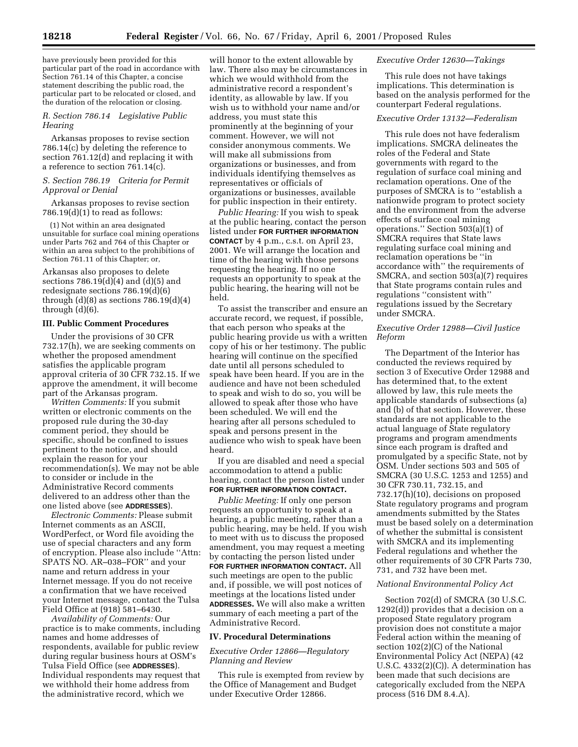have previously been provided for this particular part of the road in accordance with Section 761.14 of this Chapter, a concise statement describing the public road, the particular part to be relocated or closed, and the duration of the relocation or closing.

### *R. Section 786.14 Legislative Public Hearing*

Arkansas proposes to revise section 786.14(c) by deleting the reference to section 761.12(d) and replacing it with a reference to section 761.14(c).

# *S. Section 786.19 Criteria for Permit Approval or Denial*

Arkansas proposes to revise section  $786.19(d)(1)$  to read as follows:

(1) Not within an area designated unsuitable for surface coal mining operations under Parts 762 and 764 of this Chapter or within an area subject to the prohibitions of Section 761.11 of this Chapter; or,

Arkansas also proposes to delete sections  $786.19(d)(4)$  and  $(d)(5)$  and redesignate sections 786.19(d)(6) through  $(d)(8)$  as sections  $786.19(d)(4)$ through (d)(6).

### **III. Public Comment Procedures**

Under the provisions of 30 CFR 732.17(h), we are seeking comments on whether the proposed amendment satisfies the applicable program approval criteria of 30 CFR 732.15. If we approve the amendment, it will become part of the Arkansas program.

*Written Comments:* If you submit written or electronic comments on the proposed rule during the 30-day comment period, they should be specific, should be confined to issues pertinent to the notice, and should explain the reason for your recommendation(s). We may not be able to consider or include in the Administrative Record comments delivered to an address other than the one listed above (see **ADDRESSES**).

*Electronic Comments:* Please submit Internet comments as an ASCII, WordPerfect, or Word file avoiding the use of special characters and any form of encryption. Please also include ''Attn: SPATS NO. AR–038–FOR'' and your name and return address in your Internet message. If you do not receive a confirmation that we have received your Internet message, contact the Tulsa Field Office at (918) 581–6430.

*Availability of Comments:* Our practice is to make comments, including names and home addresses of respondents, available for public review during regular business hours at OSM's Tulsa Field Office (see **ADDRESSES**). Individual respondents may request that we withhold their home address from the administrative record, which we

will honor to the extent allowable by law. There also may be circumstances in which we would withhold from the administrative record a respondent's identity, as allowable by law. If you wish us to withhold your name and/or address, you must state this prominently at the beginning of your comment. However, we will not consider anonymous comments. We will make all submissions from organizations or businesses, and from individuals identifying themselves as representatives or officials of organizations or businesses, available for public inspection in their entirety.

*Public Hearing:* If you wish to speak at the public hearing, contact the person listed under **FOR FURTHER INFORMATION CONTACT** by 4 p.m., c.s.t. on April 23, 2001. We will arrange the location and time of the hearing with those persons requesting the hearing. If no one requests an opportunity to speak at the public hearing, the hearing will not be held.

To assist the transcriber and ensure an accurate record, we request, if possible, that each person who speaks at the public hearing provide us with a written copy of his or her testimony. The public hearing will continue on the specified date until all persons scheduled to speak have been heard. If you are in the audience and have not been scheduled to speak and wish to do so, you will be allowed to speak after those who have been scheduled. We will end the hearing after all persons scheduled to speak and persons present in the audience who wish to speak have been heard.

If you are disabled and need a special accommodation to attend a public hearing, contact the person listed under **FOR FURTHER INFORMATION CONTACT.**

*Public Meeting:* If only one person requests an opportunity to speak at a hearing, a public meeting, rather than a public hearing, may be held. If you wish to meet with us to discuss the proposed amendment, you may request a meeting by contacting the person listed under **FOR FURTHER INFORMATION CONTACT.** All such meetings are open to the public and, if possible, we will post notices of meetings at the locations listed under **ADDRESSES.** We will also make a written summary of each meeting a part of the Administrative Record.

#### **IV. Procedural Determinations**

*Executive Order 12866—Regulatory Planning and Review*

This rule is exempted from review by the Office of Management and Budget under Executive Order 12866.

### *Executive Order 12630—Takings*

This rule does not have takings implications. This determination is based on the analysis performed for the counterpart Federal regulations.

### *Executive Order 13132—Federalism*

This rule does not have federalism implications. SMCRA delineates the roles of the Federal and State governments with regard to the regulation of surface coal mining and reclamation operations. One of the purposes of SMCRA is to ''establish a nationwide program to protect society and the environment from the adverse effects of surface coal mining operations.'' Section 503(a)(1) of SMCRA requires that State laws regulating surface coal mining and reclamation operations be ''in accordance with'' the requirements of SMCRA, and section 503(a)(7) requires that State programs contain rules and regulations ''consistent with'' regulations issued by the Secretary under SMCRA.

# *Executive Order 12988—Civil Justice Reform*

The Department of the Interior has conducted the reviews required by section 3 of Executive Order 12988 and has determined that, to the extent allowed by law, this rule meets the applicable standards of subsections (a) and (b) of that section. However, these standards are not applicable to the actual language of State regulatory programs and program amendments since each program is drafted and promulgated by a specific State, not by OSM. Under sections 503 and 505 of SMCRA (30 U.S.C. 1253 and 1255) and 30 CFR 730.11, 732.15, and 732.17(h)(10), decisions on proposed State regulatory programs and program amendments submitted by the States must be based solely on a determination of whether the submittal is consistent with SMCRA and its implementing Federal regulations and whether the other requirements of 30 CFR Parts 730, 731, and 732 have been met.

## *National Environmental Policy Act*

Section 702(d) of SMCRA (30 U.S.C. 1292(d)) provides that a decision on a proposed State regulatory program provision does not constitute a major Federal action within the meaning of section 102(2)(C) of the National Environmental Policy Act (NEPA) (42 U.S.C. 4332(2)(C)). A determination has been made that such decisions are categorically excluded from the NEPA process (516 DM 8.4.A).